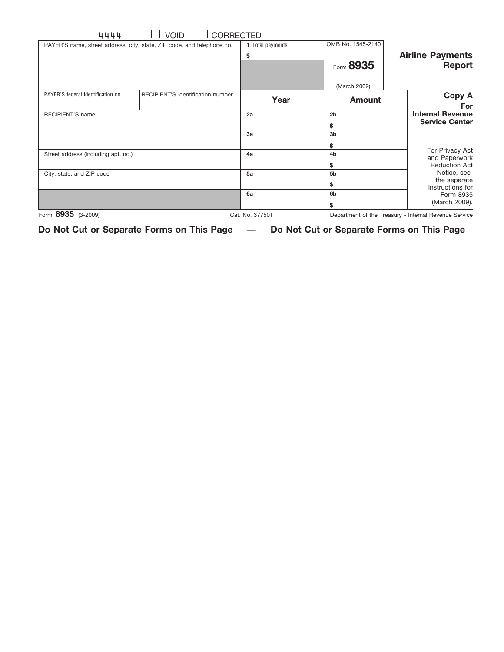|                                                          |                           |                  | <b>CORRECTED</b><br><b>VOID</b>                                        | 4444                                |
|----------------------------------------------------------|---------------------------|------------------|------------------------------------------------------------------------|-------------------------------------|
|                                                          | OMB No. 1545-2140         | 1 Total payments | PAYER'S name, street address, city, state, ZIP code, and telephone no. |                                     |
| <b>Airline Payments</b><br><b>Report</b>                 | Form 8935<br>(March 2009) | \$               |                                                                        |                                     |
| Copy A<br>For                                            | <b>Amount</b>             | Year             | RECIPIENT'S identification number                                      | PAYER'S federal identification no.  |
| <b>Internal Revenue</b><br><b>Service Center</b>         | 2 <sub>b</sub><br>\$      | 2a               |                                                                        | <b>RECIPIENT'S name</b>             |
|                                                          | 3 <sub>b</sub><br>\$      | 3a               |                                                                        |                                     |
| For Privacy Act<br>and Paperwork<br><b>Reduction Act</b> | 4 <sub>b</sub><br>\$      | 4a               |                                                                        | Street address (including apt. no.) |
| Notice, see<br>the separate<br>Instructions for          | 5 <sub>b</sub><br>\$      | 5a               |                                                                        | City, state, and ZIP code           |
| Form 8935<br>(March 2009).                               | 6 <sub>b</sub><br>\$      | 6a               |                                                                        |                                     |
| Department of the Treasury - Internal Revenue Service    | Cat. No. 37750T           |                  |                                                                        | Form 8935 (3-2009)                  |

**Do Not Cut or Separate Forms on This Page — Do Not Cut or Separate Forms on This Page**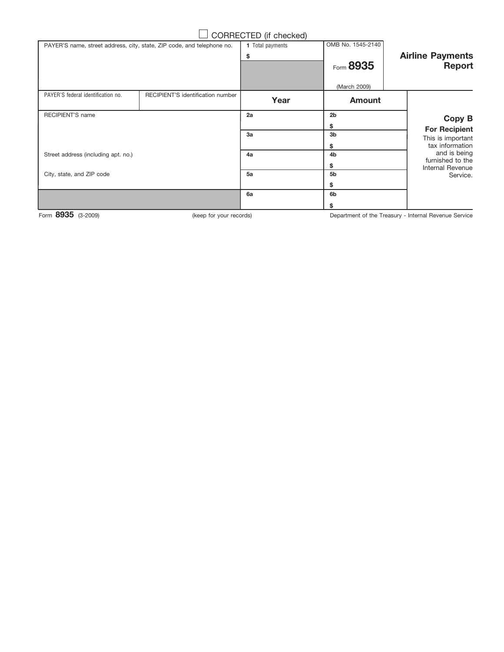## $\Box$  CORRECTED (if checked)

|                                          | OMB No. 1545-2140         | 1 Total payments |                                   | PAYER'S name, street address, city, state, ZIP code, and telephone no. |
|------------------------------------------|---------------------------|------------------|-----------------------------------|------------------------------------------------------------------------|
| <b>Airline Payments</b><br><b>Report</b> | Form 8935<br>(March 2009) | \$               |                                   |                                                                        |
|                                          | <b>Amount</b>             | Year             | RECIPIENT'S identification number | PAYER'S federal identification no.                                     |
| Copy B<br><b>For Recipient</b>           | 2 <sub>b</sub>            | 2a               |                                   | RECIPIENT'S name                                                       |
|                                          | \$                        |                  |                                   |                                                                        |
| This is important                        | 3 <sub>b</sub>            | 3a               |                                   |                                                                        |
| tax information                          | \$                        |                  |                                   |                                                                        |
| and is being                             | 4 <sub>b</sub>            | 4a               |                                   | Street address (including apt. no.)                                    |
| furnished to the<br>Internal Revenue     | \$                        |                  |                                   |                                                                        |
| Service.                                 | 5 <sub>b</sub>            | 5a               |                                   | City, state, and ZIP code                                              |
|                                          | \$                        |                  |                                   |                                                                        |
|                                          | 6 <sub>b</sub>            | 6a               |                                   |                                                                        |
|                                          | \$                        |                  |                                   |                                                                        |

Form 8935 (3-2009)

(keep for your records) **Example 29 Separtment of the Treasury - Internal Revenue Service**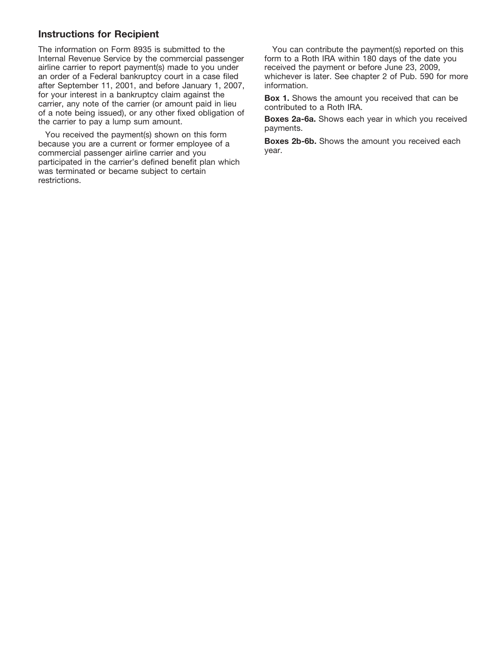## **Instructions for Recipient**

The information on Form 8935 is submitted to the Internal Revenue Service by the commercial passenger airline carrier to report payment(s) made to you under an order of a Federal bankruptcy court in a case filed after September 11, 2001, and before January 1, 2007, for your interest in a bankruptcy claim against the carrier, any note of the carrier (or amount paid in lieu of a note being issued), or any other fixed obligation of the carrier to pay a lump sum amount.

You received the payment(s) shown on this form because you are a current or former employee of a commercial passenger airline carrier and you participated in the carrier's defined benefit plan which was terminated or became subject to certain restrictions.

You can contribute the payment(s) reported on this form to a Roth IRA within 180 days of the date you received the payment or before June 23, 2009, whichever is later. See chapter 2 of Pub. 590 for more information.

**Box 1.** Shows the amount you received that can be contributed to a Roth IRA.

Boxes 2a-6a. Shows each year in which you received payments.

**Boxes 2b-6b.** Shows the amount you received each year.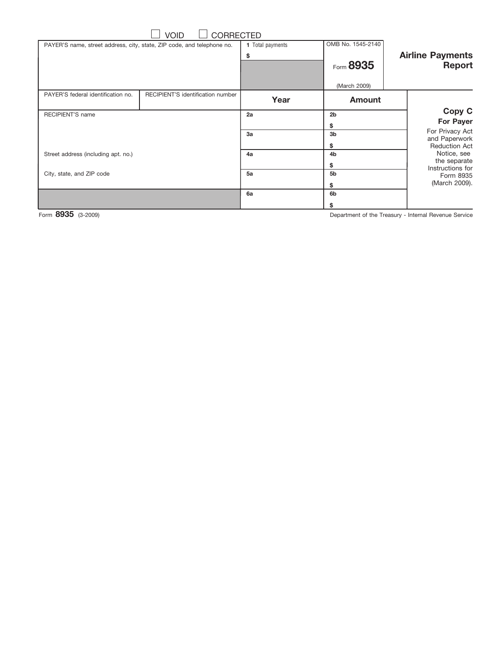| <b>CORRECTED</b><br><b>VOID</b>     |                                                                        |                  |                   |                                          |  |  |  |  |
|-------------------------------------|------------------------------------------------------------------------|------------------|-------------------|------------------------------------------|--|--|--|--|
|                                     | PAYER'S name, street address, city, state, ZIP code, and telephone no. | 1 Total payments | OMB No. 1545-2140 |                                          |  |  |  |  |
|                                     |                                                                        | \$               | Form 8935         | <b>Airline Payments</b><br><b>Report</b> |  |  |  |  |
|                                     |                                                                        |                  | (March 2009)      |                                          |  |  |  |  |
| PAYER'S federal identification no.  | RECIPIENT'S identification number                                      | Year             | <b>Amount</b>     |                                          |  |  |  |  |
| RECIPIENT'S name                    |                                                                        | 2a               | 2 <sub>b</sub>    | Copy C                                   |  |  |  |  |
|                                     |                                                                        |                  | \$                | <b>For Payer</b>                         |  |  |  |  |
|                                     |                                                                        | 3a               | 3 <sub>b</sub>    | For Privacy Act<br>and Paperwork         |  |  |  |  |
|                                     |                                                                        |                  | \$                | <b>Reduction Act</b>                     |  |  |  |  |
| Street address (including apt. no.) |                                                                        | 4a               | 4 <sub>b</sub>    | Notice, see<br>the separate              |  |  |  |  |
|                                     |                                                                        |                  | \$                | Instructions for                         |  |  |  |  |
| City, state, and ZIP code           |                                                                        | 5a               | 5 <sub>b</sub>    | Form 8935                                |  |  |  |  |
|                                     |                                                                        |                  | \$                | (March 2009).                            |  |  |  |  |
|                                     |                                                                        | 6a               | 6 <sub>b</sub>    |                                          |  |  |  |  |
|                                     |                                                                        |                  | \$                |                                          |  |  |  |  |

Form 8935 (3-2009)

Department of the Treasury - Internal Revenue Service